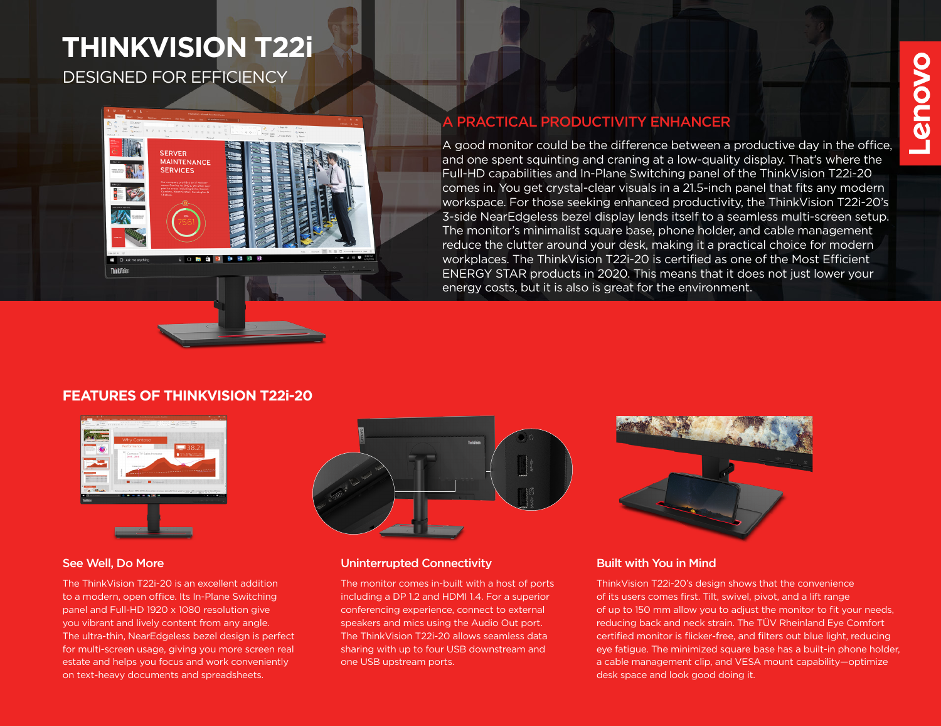# DESIGNED FOR EFFICIENCY **THINKVISION T22i**



# A PRACTICAL PRODUCTIVITY ENHANCER

A good monitor could be the difference between a productive day in the office, and one spent squinting and craning at a low-quality display. That's where the Full-HD capabilities and In-Plane Switching panel of the ThinkVision T22i-20 comes in. You get crystal-clear visuals in a 21.5-inch panel that fits any modern workspace. For those seeking enhanced productivity, the ThinkVision T22i-20's 3-side NearEdgeless bezel display lends itself to a seamless multi-screen setup. The monitor's minimalist square base, phone holder, and cable management reduce the clutter around your desk, making it a practical choice for modern workplaces. The ThinkVision T22i-20 is certified as one of the Most Efficient ENERGY STAR products in 2020. This means that it does not just lower your energy costs, but it is also is great for the environment.

## **FEATURES OF THINKVISION T22i-20**



The ThinkVision T22i-20 is an excellent addition to a modern, open office. Its In-Plane Switching panel and Full-HD 1920 x 1080 resolution give you vibrant and lively content from any angle. The ultra-thin, NearEdgeless bezel design is perfect for multi-screen usage, giving you more screen real estate and helps you focus and work conveniently on text-heavy documents and spreadsheets.



### See Well, Do More New York Connectivity and Uninterrupted Connectivity

The monitor comes in-built with a host of ports including a DP 1.2 and HDMI 1.4. For a superior conferencing experience, connect to external speakers and mics using the Audio Out port. The ThinkVision T22i-20 allows seamless data sharing with up to four USB downstream and one USB upstream ports.



### Built with You in Mind

ThinkVision T22i-20's design shows that the convenience of its users comes first. Tilt, swivel, pivot, and a lift range of up to 150 mm allow you to adjust the monitor to fit your needs, reducing back and neck strain. The TÜV Rheinland Eye Comfort certified monitor is flicker-free, and filters out blue light, reducing eye fatigue. The minimized square base has a built-in phone holder, a cable management clip, and VESA mount capability—optimize desk space and look good doing it.